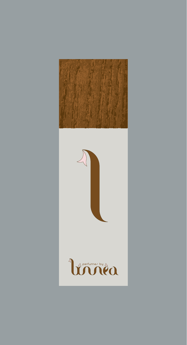



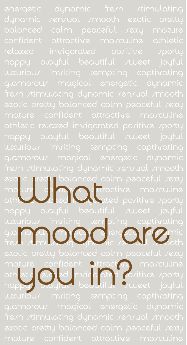exotic pretty balance<u>d</u> calm peaceful *r*exy mature confidence attractive maxculine athletic direct invigated positive sporty luxurious inviting tempting captivating glamorous magical de partie luxuriour inviting tempting coptivating<br>Glancom and Contraction of the south of the south of the south of the south of the south of the south of the s<br>List of the south of the south of the south of the south of the south o mature confident attractive maxculine ath etic relaxed invigorated positive sporty mature confident attract marculine<br>ath etic and at moritor and the sporty<br>happy playful beautiful sweet joyful luxurious inviting tempting captivating The Mathematical Colindation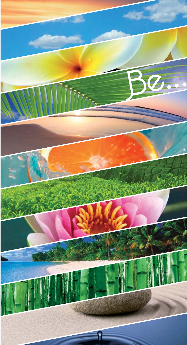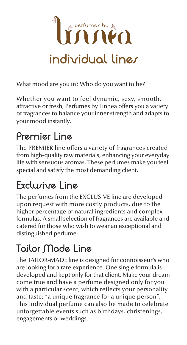

What mood are you in? Who do you want to be?

Whether you want to feel dynamic, sexy, smooth, attractive or fresh, Perfumes by Linnea offers you a variety of fragrances to balance your inner strength and adapts to your mood instantly.

### **Premier Line**

The PREMIER line offers a variety of fragrances created from high-quality raw materials, enhancing your everyday life with sensuous aromas. These perfumes make you feel special and satisfy the most demanding client.

# **Exclusive Line**

The perfumes from the EXCLUSIVE line are developed upon request with more costly products, due to the higher percentage of natural ingredients and complex formulas. A small selection of fragrances are available and catered for those who wish to wear an exceptional and distinguished perfume.

## **Tailor Made Line**

The TAILOR-MADE line is designed for connoisseur's who are looking for a rare experience. One single formula is developed and kept only for that client. Make your dream come true and have a perfume designed only for you with a particular scent, which reflects your personality and taste; "a unique fragrance for a unique person". This individual perfume can also be made to celebrate unforgettable events such as birthdays, christenings, engagements or weddings.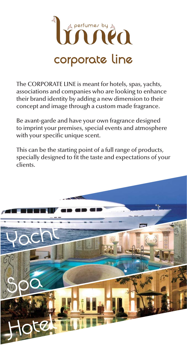

The CORPORATE LINE is meant for hotels, spas, yachts, associations and companies who are looking to enhance their brand identity by adding a new dimension to their concept and image through a custom made fragrance.

Be avant-garde and have your own fragrance designed to imprint your premises, special events and atmosphere with your specific unique scent.

This can be the starting point of a full range of products, specially designed to fit the taste and expectations of your clients.

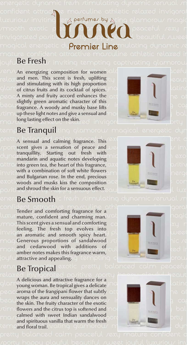

#### joyfu**BE Fresh**s inviting tempting captivating glamorous Be Fresh

renrum an energizing composition for women ald peaceful peaceful relaxed men. This scent is fresh, uplifting ty glam of citrus fruits and its cocktail of spices. **Doing** the stimulating with a single stimulation of  $\frac{1}{2}$  $p$ eace **A** minty and fruity accord enhances the  $\alpha$ th and  $\alpha$  at beautiful sweet joyful luxurious inviting tempting cap fragrance. A woody and musky base lifts stimulating dynamic sensual smooth exotic pretty balance pretty balance  $\mathbb{R}$ maxilong lasting effect on the skin. ed invigord the state brity and stimulating with its high proportion slightly green aromatic character of this



### temp**Be Tranquil**lting glamorou*r* magical energetic dyn

pretty bensual and calming fragrance. This  $\infty$ sport scent gives a sensation of peace and  $\cup \circ \blacksquare$  invariant  $\blacksquare$  invariant  $\blacksquare$ dynamic fresh stating out fresh with  $\alpha$  and  $\alpha$  and  $\alpha$  and  $\alpha$  and  $\alpha$  and aquatic notes developing attracinto green tea, the heart of this fragrance, and the state of the positive inviting tempting captivating glamorous magical energe with a combination of soft white flowers exotic woods and musks kiss the composition and mature and conpositivand shroud the skin for a sensuous effect.  $\delta$  and  $\mu$  and  $\mu$  luxum  $\mu$ tranquillity. Starting out fresh with and Bulgarian rose. In the end, precious

### enerc**Be Smooth**ic fre*r*h *r*timulating dynamic *r*en*r*ual *r*n

confident attractive masculine athletic relaxed in a portal property of  $\sim$  $\frac{1}{2}$  luxurinature, confident and charming man.  $\frac{1}{2}$  and  $\frac{1}{2}$   $\frac{1}{2}$   $\frac{1}{2}$   $\frac{1}{2}$   $\frac{1}{2}$   $\frac{1}{2}$   $\frac{1}{2}$   $\frac{1}{2}$   $\frac{1}{2}$   $\frac{1}{2}$   $\frac{1}{2}$   $\frac{1}{2}$   $\frac{1}{2}$   $\frac{1}{2}$   $\frac{1}{2}$   $\frac{1$  $\mathcal{S}$  mooth is scent gives a sensual and comforting  $\|\cdot\|$  and  $\|\cdot\|$  and  $\|\cdot\|$  and  $\|\cdot\|$  $\frac{1}{2}$  invited positive sports into the smooth spicy heart. magi**Generous proportions of sandalwood** at the stimulations of designations of sandalwood  $\sim$  and cedarwood with additions of  $\sim$   $\frac{R_{\text{max}}}{\frac{R_{\text{max}}}{\frac{R_{\text{max}}}{\frac{R_{\text{max}}}{\frac{R_{\text{max}}}{\frac{R_{\text{max}}}{\frac{R_{\text{max}}}{\frac{R_{\text{max}}}{\frac{R_{\text{max}}}{\frac{R_{\text{max}}}{\frac{R_{\text{max}}}{\frac{R_{\text{max}}}{\frac{R_{\text{max}}}{\frac{R_{\text{max}}}{\frac{R_{\text{max}}}{\frac{R_{\text{max}}}{\frac$ joyful attractive and appealing of tempting  $c$  and  $\overline{a}$  and  $\overline{a}$  for our feeling. The fresh top evolves into and cedarwood with additions of

### renre**Be Tropical** exotic pretty balanced calm peacefu

relaxed invitorated positive sporty happy playful beaut<br>A delicious and attractive fragrance for a glamorous and attactive nagrance for a<br>young woman. Be tropical gives a delicate peace aroma of the frangipani flower that subtly lotter that  $\mathbb{R}$ beautiful sweet joyful luxurious inviting tempting cap the skin. The fruity character of the exotic Atimulation stimulation of the citrus top is softened and model and the strategy of the balance of the balance  $\sim$  calmed with sweet Indian sandalwood tempting final trail wating glamorous magical energy dyn wraps the aura and sensuality dances on and spirituous vanilla that warm the fresh and floral trail.





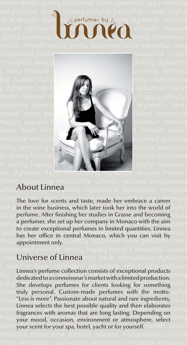

ted pozitive zpo**rny h**appy playful beautiful zweet joyful: cal energetic dyna mi**g perfumer by** Isting dynamic *r*en*r*ual: nature confident at  $\alpha$  of  $\gamma$   $\gamma$  athletic relaxed

t joyful luxuriour **invitition to pull the contraction** glamorous

#### fident attractive ma/culine athletic relaxed invigorated uriou.**About Linnea**sting captivating glamorou*r* magical

mooth The love for scents and taste, made her embrace a career oture  $\text{col}$  pin the wine business, which later took her into the world of  $\cup$  full  $_{\odot}$ l en**perfume. After finishing her studies in Grasse and becoming**  $_{\prime}$ u $_{\odot}$ l  $_{\cap$ otulia perfumer, she set up her company in Monaco with the aim $_{\bigcirc \times \otimes \bigcirc}$  $\frac{10 \text{ V}}{\text{has her office in central Monaco, which you can visit by } \frac{100 \text{ V}}{\text{has her office in central Monaco, which you can visit } \frac{100 \text{ V}}{\text{has been been used.}}$ anzuc<mark>appointment only.</mark>c pretty balanced calm peaceful zexy to create exceptional perfumes in limited quantities. Linnea

#### r ma**Universe of Linnea**mic fre*r*h *r*timulating dynamic

l sexy mature confident attractive masculine athletic Linnea's perfume collection consists of exceptional products iful sume as periume concertori consists or exceptional products. adyn**she develops perfumes for clients looking for something alm**  ${\sf h}$ leti truly personal. Custom-made perfumes with the motto: ${\sf u}$ ful  $_{\circ}$ tiv $_{\odot}$  ('Less is more''. Passionate about natural and rare ingredients,  $_{\rm f\circ\circ}$  / $_{\cap}$  $\alpha \sim 2$  calmed servers the best possible quality and then elaborates  $\alpha$  fragrances with aromas that are long lasting. Depending on happy magnetics with aromas that are long hading. Beperhaling on invitation of the system of the system of the system of the system of the system of the system of the system of the system of the system of the system of the amic your scent for your spa, hotel, yacht or for yourself. mooth exotic Linnea selects the best possible quality and then elaborates